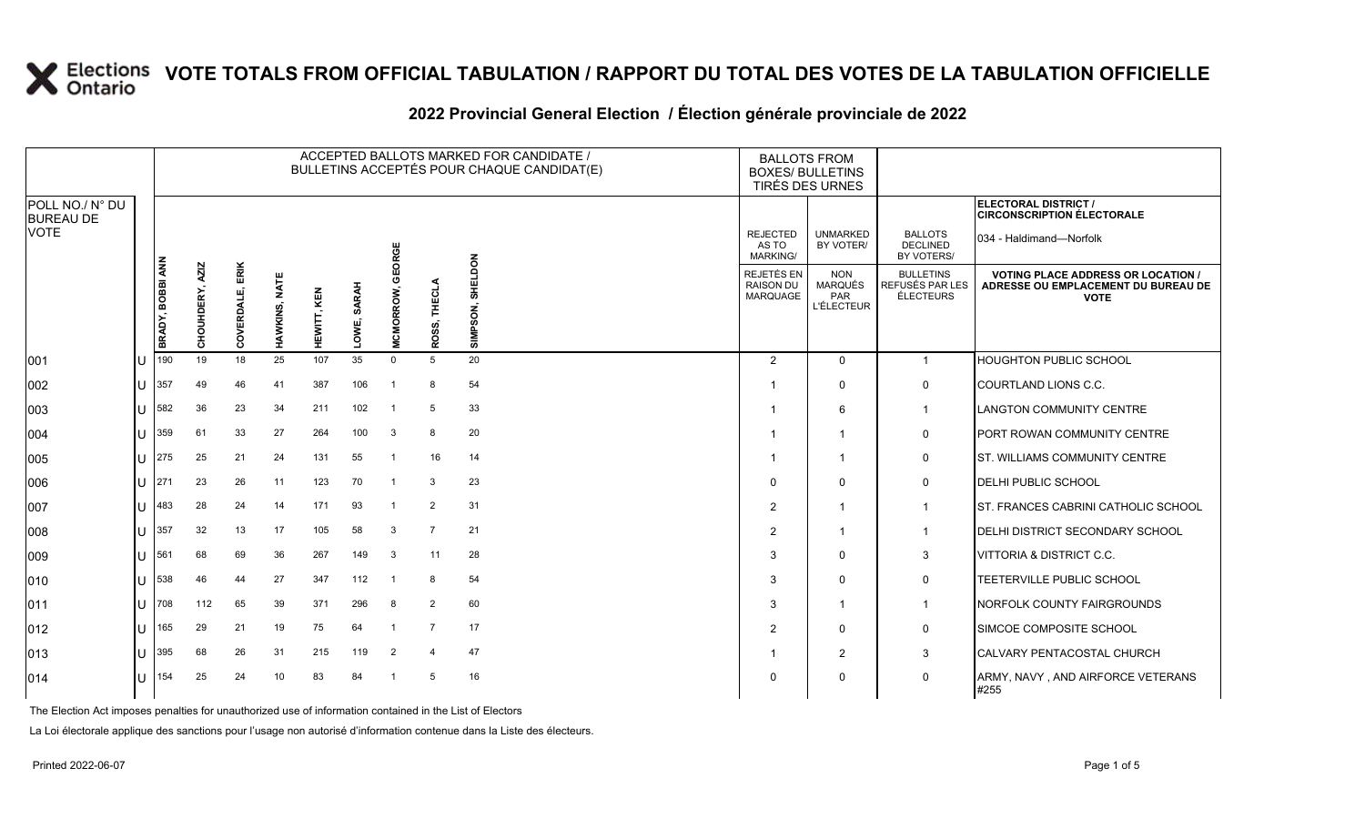#### **2022 Provincial General Election / Élection générale provinciale de 2022**

|                                     |                  | ACCEPTED BALLOTS MARKED FOR CANDIDATE /<br>BULLETINS ACCEPTÉS POUR CHAQUE CANDIDAT(E) |                    |                  |                |               |                  |                |                     |    |                                                   | <b>BOXES/ BULLETINS</b>                                  | <b>BALLOTS FROM</b><br>TIRÉS DES URNES           |                                                                                               |                                                           |
|-------------------------------------|------------------|---------------------------------------------------------------------------------------|--------------------|------------------|----------------|---------------|------------------|----------------|---------------------|----|---------------------------------------------------|----------------------------------------------------------|--------------------------------------------------|-----------------------------------------------------------------------------------------------|-----------------------------------------------------------|
| POLL NO./ N° DU<br><b>BUREAU DE</b> |                  |                                                                                       |                    |                  |                |               |                  |                |                     |    |                                                   |                                                          |                                                  |                                                                                               | ELECTORAL DISTRICT /<br><b>CIRCONSCRIPTION ÉLECTORALE</b> |
| <b>VOTE</b>                         |                  |                                                                                       |                    |                  |                |               |                  | GEORGE         |                     |    |                                                   | <b>REJECTED</b><br>AS TO<br><b>MARKING/</b>              | <b>UNMARKED</b><br>BY VOTER/                     | <b>BALLOTS</b><br><b>DECLINED</b><br>BY VOTERS/                                               | 034 - Haldimand-Norfolk                                   |
|                                     | BRADY, BOBBI ANN | <b>AZIZ</b><br>CHOUHDERY,                                                             | ERIK<br>COVERDALE, | NATE<br>HAWKINS, | KEN<br>HEWITT, | SARAH<br>OWE, | <b>MCMORROW,</b> | ROSS, THECLA   | SHELDON<br>SIMPSON, |    | REJETÉS EN<br><b>RAISON DU</b><br><b>MARQUAGE</b> | <b>NON</b><br><b>MARQUÉS</b><br>PAR<br><b>L'ÉLECTEUR</b> | <b>BULLETINS</b><br>REFUSÉS PAR LES<br>ÉLECTEURS | <b>VOTING PLACE ADDRESS OR LOCATION</b><br>ADRESSE OU EMPLACEMENT DU BUREAU DE<br><b>VOTE</b> |                                                           |
| 001                                 | ΙU               | 190                                                                                   | 19                 | 18               | 25             | 107           | 35               | $\Omega$       | 5                   | 20 |                                                   | $\overline{2}$                                           | $\Omega$                                         | $\mathbf{1}$                                                                                  | HOUGHTON PUBLIC SCHOOL                                    |
| 002                                 | U                | 357                                                                                   | 49                 | 46               | 41             | 387           | 106              | $\overline{1}$ | 8                   | 54 |                                                   |                                                          | $\Omega$                                         | 0                                                                                             | COURTLAND LIONS C.C.                                      |
| 003                                 | IП               | 582                                                                                   | 36                 | 23               | 34             | 211           | 102              | -1             | 5                   | 33 |                                                   |                                                          | 6                                                | 1                                                                                             | <b>LANGTON COMMUNITY CENTRE</b>                           |
| 004                                 | IП               | 359                                                                                   | 61                 | 33               | 27             | 264           | 100              | 3              | 8                   | 20 |                                                   |                                                          |                                                  | 0                                                                                             | PORT ROWAN COMMUNITY CENTRE                               |
| 005                                 | U                | 275                                                                                   | 25                 | 21               | 24             | 131           | 55               | -1             | 16                  | 14 |                                                   |                                                          | -1                                               | $\mathbf 0$                                                                                   | <b>ST. WILLIAMS COMMUNITY CENTRE</b>                      |
| 006                                 | ΙU               | 271                                                                                   | 23                 | 26               | 11             | 123           | 70               | -1             | 3                   | 23 |                                                   | $\Omega$                                                 | $\mathbf 0$                                      | 0                                                                                             | DELHI PUBLIC SCHOOL                                       |
| 007                                 | U                | 483                                                                                   | 28                 | 24               | 14             | 171           | 93               | $\overline{1}$ | 2                   | 31 |                                                   | $\overline{2}$                                           |                                                  | $\mathbf{1}$                                                                                  | ST. FRANCES CABRINI CATHOLIC SCHOOL                       |
| 008                                 | U                | 357                                                                                   | 32                 | 13               | 17             | 105           | 58               | 3              | $\overline{7}$      | 21 |                                                   | 2                                                        | -1                                               | $\mathbf{1}$                                                                                  | DELHI DISTRICT SECONDARY SCHOOL                           |
| 009                                 | $\mathbf{U}$     | 561                                                                                   | 68                 | 69               | 36             | 267           | 149              | 3              | 11                  | 28 |                                                   | 3                                                        | $\Omega$                                         | 3                                                                                             | VITTORIA & DISTRICT C.C.                                  |
| 010                                 | IП               | 538                                                                                   | 46                 | 44               | 27             | 347           | 112              | -1             | 8                   | 54 |                                                   | 3                                                        | $\Omega$                                         | 0                                                                                             | TEETERVILLE PUBLIC SCHOOL                                 |
| 011                                 | $\mathbf{U}$     | 708                                                                                   | 112                | 65               | 39             | 371           | 296              | 8              | 2                   | 60 |                                                   | 3                                                        | -1                                               | $\mathbf{1}$                                                                                  | NORFOLK COUNTY FAIRGROUNDS                                |
| $ 012\rangle$                       | U                | 165                                                                                   | 29                 | 21               | 19             | 75            | 64               | $\overline{1}$ | $\overline{7}$      | 17 |                                                   | $\overline{2}$                                           | $\Omega$                                         | 0                                                                                             | SIMCOE COMPOSITE SCHOOL                                   |
| $ 013\rangle$                       | IП               | 395                                                                                   | 68                 | 26               | 31             | 215           | 119              | 2              | 4                   | 47 |                                                   |                                                          | $\overline{2}$                                   | 3                                                                                             | CALVARY PENTACOSTAL CHURCH                                |
| 014                                 | $\mathbf{H}$     | 154                                                                                   | 25                 | 24               | 10             | 83            | 84               |                | 5                   | 16 |                                                   | $\Omega$                                                 | 0                                                | 0                                                                                             | ARMY, NAVY, AND AIRFORCE VETERANS<br>#255                 |

The Election Act imposes penalties for unauthorized use of information contained in the List of Electors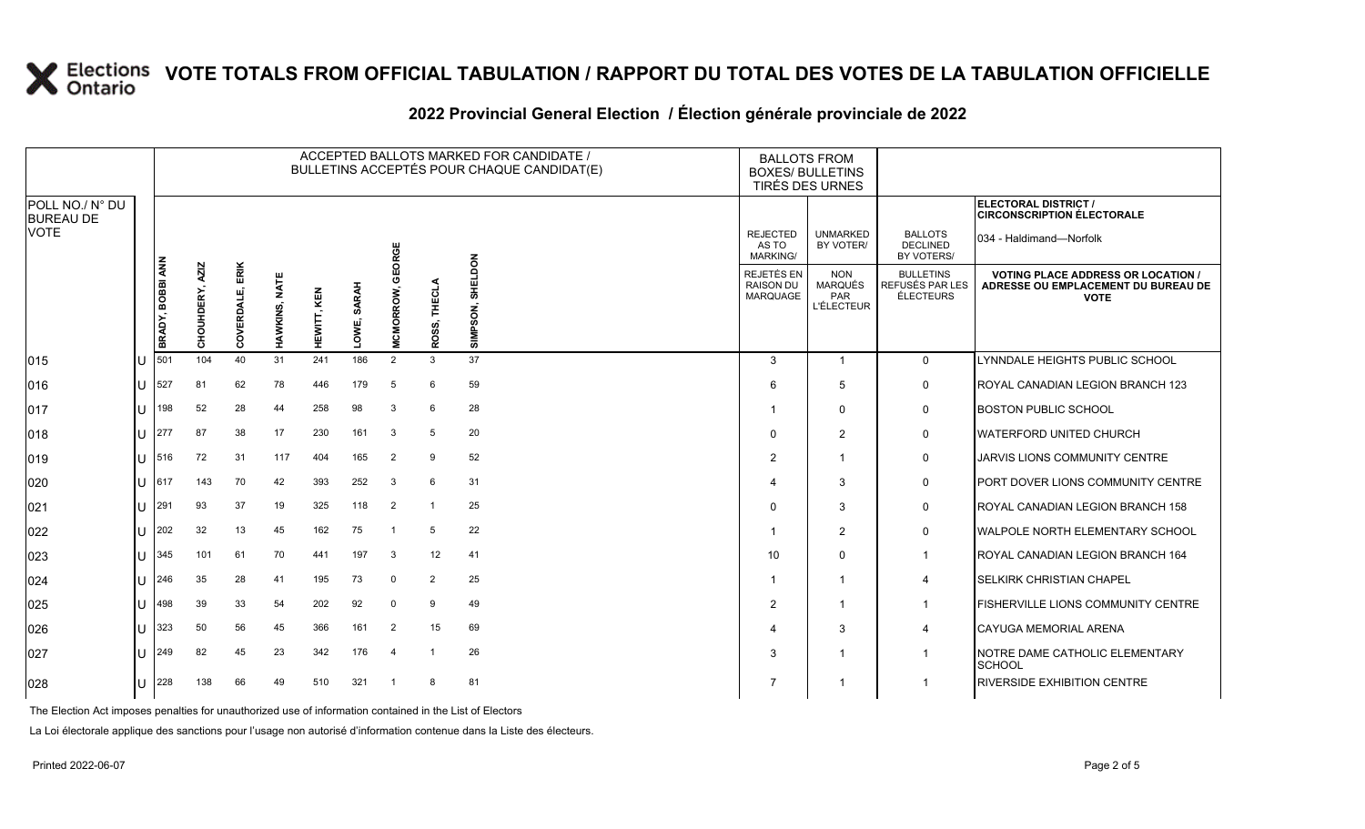#### ACCEPTED BALLOTS MARKED FOR CANDIDATE / ACCEPTED BALLOTS MARKED FOR CANDIDATE /<br>BULLETINS ACCEPTÉS POUR CHAQUE CANDIDAT(E) BOXES/ BULLETIN BOXES/ BULLETINS TIRÉS DES URNES REJECTED AS TO UNMARKED BY VOTER/ BALLOTS DECLINED **ELECTORAL DISTRICT / CIRCONSCRIPTION ÉLECTORALE** 034 - Haldimand—Norfolk

| 2022 Provincial General Election / Élection générale provinciale de 2022 |
|--------------------------------------------------------------------------|
|                                                                          |

|                                     |    |                  | ACCEPTED BALLOTS MARKED FOR CANDIDATE /<br>BULLETINS ACCEPTÉS POUR CHAQUE CANDIDAT(E) |                    |               |             |                   |                |                 |                          |  | <b>BALLOTS FROM</b><br><b>BOXES/ BULLETINS</b><br>TIRÉS DES URNES |                                                                 |                                                  |                                                                                                 |
|-------------------------------------|----|------------------|---------------------------------------------------------------------------------------|--------------------|---------------|-------------|-------------------|----------------|-----------------|--------------------------|--|-------------------------------------------------------------------|-----------------------------------------------------------------|--------------------------------------------------|-------------------------------------------------------------------------------------------------|
| POLL NO./ N° DU<br><b>BUREAU DE</b> |    |                  |                                                                                       |                    |               |             |                   |                |                 |                          |  |                                                                   |                                                                 |                                                  | ELECTORAL DISTRICT /<br><b>CIRCONSCRIPTION ÉLECTORALE</b>                                       |
| <b>VOTE</b>                         |    |                  |                                                                                       |                    |               |             |                   | ORGE           |                 |                          |  | <b>REJECTED</b><br>AS TO<br>MARKING/                              | <b>UNMARKED</b><br>BY VOTER/                                    | <b>BALLOTS</b><br><b>DECLINED</b><br>BY VOTERS/  | 034 - Haldimand-Norfolk                                                                         |
|                                     |    | BRADY, BOBBI ANN | <b>AZIZ</b><br>DERY,<br>CHOUHI                                                        | ERIK<br>COVERDALE, | HAWKINS, NATE | HEWITT, KEN | <b>SARAH</b><br>š | ORROW,         | THECLA<br>ROSS, | NOQTEHS<br>င္တ<br>ᄛ<br>5 |  | REJETÉS EN<br><b>RAISON DU</b><br><b>MARQUAGE</b>                 | <b>NON</b><br><b>MARQUÉS</b><br><b>PAR</b><br><b>L'ÉLECTEUR</b> | <b>BULLETINS</b><br>REFUSÉS PAR LES<br>ÉLECTEURS | <b>VOTING PLACE ADDRESS OR LOCATION /</b><br>ADRESSE OU EMPLACEMENT DU BUREAU DE<br><b>VOTE</b> |
| 015                                 | IU | 501              | 104                                                                                   | 40                 | 31            | 241         | 186               | 2              | 3               | 37                       |  | 3                                                                 | $\mathbf{1}$                                                    | $\overline{0}$                                   | LYNNDALE HEIGHTS PUBLIC SCHOOL                                                                  |
| 016                                 | IП | 527              | 81                                                                                    | 62                 | 78            | 446         | 179               | 5              | 6               | 59                       |  | 6                                                                 | 5                                                               | 0                                                | ROYAL CANADIAN LEGION BRANCH 123                                                                |
| 017                                 | lU | 198              | 52                                                                                    | 28                 | 44            | 258         | 98                | 3              | 6               | 28                       |  |                                                                   | $\Omega$                                                        | 0                                                | <b>BOSTON PUBLIC SCHOOL</b>                                                                     |
| 018                                 | lu | 277              | 87                                                                                    | 38                 | 17            | 230         | 161               | 3              | 5               | 20                       |  | $\Omega$                                                          | 2                                                               | $\mathsf{O}$                                     | WATERFORD UNITED CHURCH                                                                         |
| 019                                 | lu | 516              | 72                                                                                    | 31                 | 117           | 404         | 165               | $\overline{2}$ | 9               | 52                       |  | $\overline{2}$                                                    | $\overline{1}$                                                  | 0                                                | <b>JARVIS LIONS COMMUNITY CENTRE</b>                                                            |
| 020                                 | IU | 617              | 143                                                                                   | 70                 | 42            | 393         | 252               | 3              | 6               | 31                       |  | Δ                                                                 | 3                                                               | $\mathsf{O}$                                     | PORT DOVER LIONS COMMUNITY CENTRE                                                               |
| 021                                 | lu | 291              | 93                                                                                    | 37                 | 19            | 325         | 118               | $\overline{2}$ |                 | 25                       |  | $\Omega$                                                          | 3                                                               | $\mathsf{O}$                                     | ROYAL CANADIAN LEGION BRANCH 158                                                                |
| 022                                 | lU | 202              | 32                                                                                    | 13                 | 45            | 162         | 75                |                | 5               | 22                       |  |                                                                   | 2                                                               | 0                                                | WALPOLE NORTH ELEMENTARY SCHOOL                                                                 |
| 023                                 | lU | 345              | 101                                                                                   | 61                 | 70            | 441         | 197               | 3              | 12              | 41                       |  | 10                                                                | $\Omega$                                                        | $\mathbf 1$                                      | ROYAL CANADIAN LEGION BRANCH 164                                                                |
| 024                                 | lu | 246              | 35                                                                                    | 28                 | 41            | 195         | 73                | $\Omega$       | 2               | 25                       |  | -1                                                                | $\mathbf{1}$                                                    | 4                                                | <b>SELKIRK CHRISTIAN CHAPEL</b>                                                                 |
| 025                                 | IП | 498              | 39                                                                                    | 33                 | 54            | 202         | 92                | $\Omega$       | 9               | 49                       |  | $\overline{2}$                                                    | $\mathbf 1$                                                     | $\mathbf 1$                                      | FISHERVILLE LIONS COMMUNITY CENTRE                                                              |
| 026                                 | lU | 323              | 50                                                                                    | 56                 | 45            | 366         | 161               | $\overline{2}$ | 15              | 69                       |  |                                                                   | 3                                                               | 4                                                | <b>CAYUGA MEMORIAL ARENA</b>                                                                    |
| 027                                 | IU | 249              | 82                                                                                    | 45                 | 23            | 342         | 176               | 4              |                 | 26                       |  | 3                                                                 | -1                                                              | -1                                               | NOTRE DAME CATHOLIC ELEMENTARY<br>SCHOOL                                                        |
| 028                                 | lu | 228              | 138                                                                                   | 66                 | 49            | 510         | 321               |                | 8               | 81                       |  | 7                                                                 | -1                                                              |                                                  | <b>RIVERSIDE EXHIBITION CENTRE</b>                                                              |

The Election Act imposes penalties for unauthorized use of information contained in the List of Electors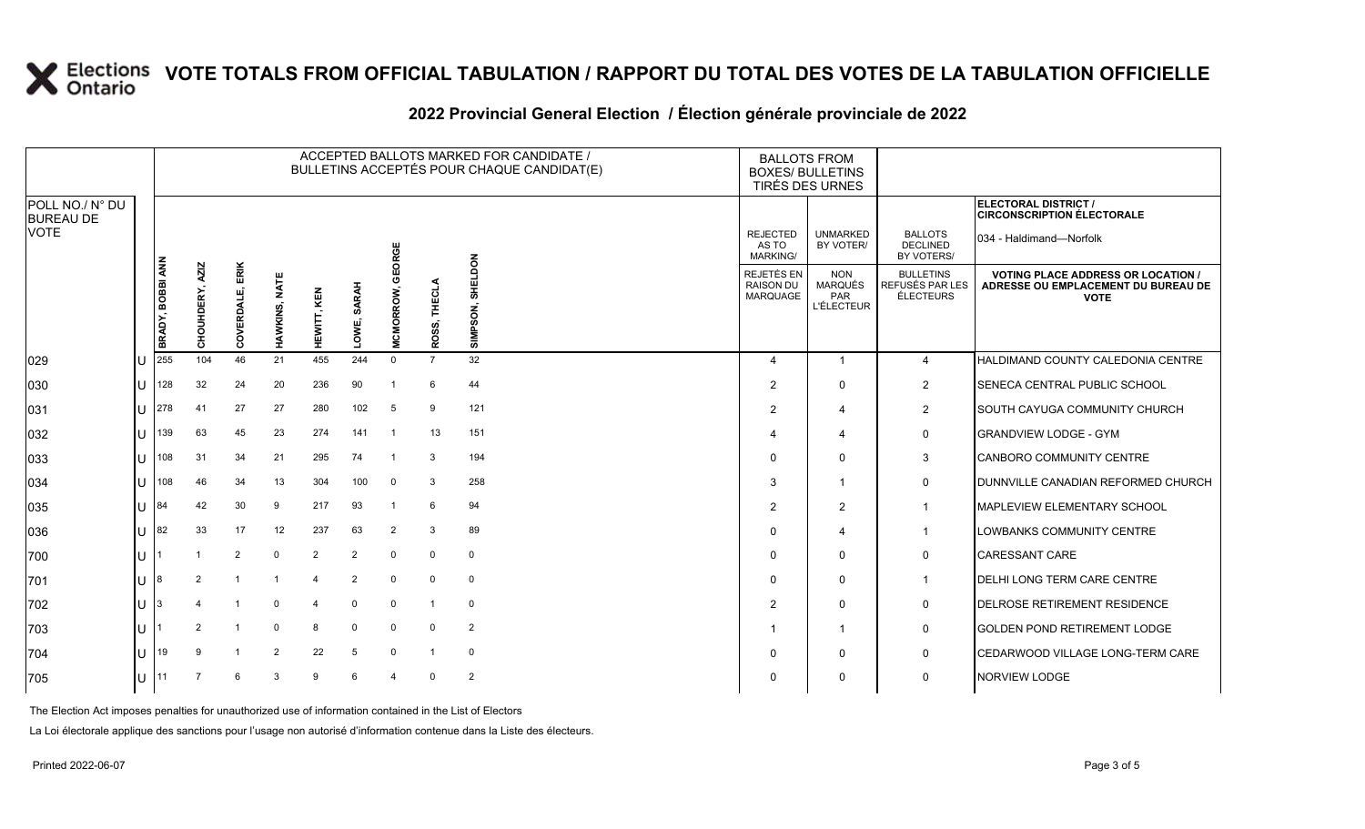### **2022 Provincial General Election / Élection générale provinciale de 2022**

|                                     |    |                  |                           |                    |                         |                |                       |                  |                            | ACCEPTED BALLOTS MARKED FOR CANDIDATE /<br>BULLETINS ACCEPTÉS POUR CHAQUE CANDIDAT(E) | <b>BALLOTS FROM</b><br><b>BOXES/ BULLETINS</b><br>TIRÉS DES URNES |                                                          |                                                  |                                                                                                 |
|-------------------------------------|----|------------------|---------------------------|--------------------|-------------------------|----------------|-----------------------|------------------|----------------------------|---------------------------------------------------------------------------------------|-------------------------------------------------------------------|----------------------------------------------------------|--------------------------------------------------|-------------------------------------------------------------------------------------------------|
| POLL NO./ N° DU<br><b>BUREAU DE</b> |    |                  |                           |                    |                         |                |                       |                  |                            |                                                                                       |                                                                   |                                                          |                                                  | ELECTORAL DISTRICT /<br><b>CIRCONSCRIPTION ÉLECTORALE</b>                                       |
| <b>VOTE</b>                         |    |                  |                           |                    |                         |                |                       | RGE<br>ਠ         |                            |                                                                                       | <b>REJECTED</b><br>AS TO<br>MARKING/                              | <b>UNMARKED</b><br>BY VOTER/                             | <b>BALLOTS</b><br><b>DECLINED</b><br>BY VOTERS/  | 034 - Haldimand—Norfolk                                                                         |
|                                     |    | BRADY, BOBBI ANN | <b>AZIZ</b><br>CHOUHDERY, | ERIK<br>COVERDALE, | <b>NATE</b><br>HAWKINS, | HEWITT, KEN    | <b>SARAH</b><br>LOWE, | <b>MCMORROW,</b> | THECLA<br>ဖ<br><b>ROSS</b> | SHELDON<br>SON,<br>Ä.<br><b>IMI</b>                                                   | <b>REJETÉS EN</b><br><b>RAISON DU</b><br>MARQUAGE                 | <b>NON</b><br><b>MARQUÉS</b><br>PAR<br><b>L'ÉLECTEUR</b> | <b>BULLETINS</b><br>REFUSÉS PAR LES<br>ÉLECTEURS | <b>VOTING PLACE ADDRESS OR LOCATION /</b><br>ADRESSE OU EMPLACEMENT DU BUREAU DE<br><b>VOTE</b> |
| 029                                 | ΙU | 255              | 104                       | 46                 | 21                      | 455            | 244                   | $\Omega$         | $\overline{7}$             | 32                                                                                    | $\boldsymbol{\varDelta}$                                          | $\mathbf 1$                                              | $\overline{4}$                                   | <b>HALDIMAND COUNTY CALEDONIA CENTRE</b>                                                        |
| 030                                 | ΙU | 128              | 32                        | 24                 | 20                      | 236            | 90                    |                  | 6                          | 44                                                                                    | 2                                                                 | $\Omega$                                                 | $\overline{2}$                                   | SENECA CENTRAL PUBLIC SCHOOL                                                                    |
| 031                                 | ΙU | 278              | 41                        | 27                 | 27                      | 280            | 102                   | 5                | 9                          | 121                                                                                   | $\overline{2}$                                                    | 4                                                        | $\overline{2}$                                   | SOUTH CAYUGA COMMUNITY CHURCH                                                                   |
| 032                                 | ΙU | 139              | 63                        | 45                 | 23                      | 274            | 141                   | -1               | 13                         | 151                                                                                   | $\boldsymbol{\Delta}$                                             | $\overline{4}$                                           | 0                                                | <b>GRANDVIEW LODGE - GYM</b>                                                                    |
| 033                                 | ΙU | 108              | 31                        | 34                 | 21                      | 295            | 74                    | -1               | 3                          | 194                                                                                   | $\Omega$                                                          | $\Omega$                                                 | 3                                                | CANBORO COMMUNITY CENTRE                                                                        |
| 034                                 | ΙU | 108              | 46                        | 34                 | 13                      | 304            | 100                   | $\mathbf 0$      | 3                          | 258                                                                                   | 3                                                                 | $\mathbf{1}$                                             | $\mathsf{O}$                                     | <b>JOUNNVILLE CANADIAN REFORMED CHURCH</b>                                                      |
| 035                                 | IΠ | 84               | 42                        | 30                 | 9                       | 217            | 93                    | -1               | 6                          | 94                                                                                    | $\overline{2}$                                                    | 2                                                        | $\overline{1}$                                   | <b>MAPLEVIEW ELEMENTARY SCHOOL</b>                                                              |
| 036                                 | lυ | 82               | 33                        | 17                 | 12                      | 237            | 63                    | 2                | 3                          | 89                                                                                    | $\Omega$                                                          | 4                                                        | $\overline{\mathbf{1}}$                          | LOWBANKS COMMUNITY CENTRE                                                                       |
| 700                                 | IΠ |                  |                           | 2                  | $\mathbf 0$             | $\overline{2}$ | $\overline{2}$        | $\mathbf 0$      | $\mathbf 0$                | $\mathbf 0$                                                                           | $\Omega$                                                          | $\Omega$                                                 | 0                                                | <b>CARESSANT CARE</b>                                                                           |
| 701                                 | ш  |                  | 2                         |                    |                         | 4              | 2                     | $\Omega$         | $\Omega$                   | 0                                                                                     | $\Omega$                                                          | $\Omega$                                                 | $\overline{1}$                                   | <b>DELHI LONG TERM CARE CENTRE</b>                                                              |
| 702                                 | ΙU |                  |                           |                    | $\Omega$                | 4              | $\Omega$              | $\mathbf 0$      | 1                          | $\mathbf 0$                                                                           | $\overline{2}$                                                    | $\Omega$                                                 | 0                                                | <b>IDELROSE RETIREMENT RESIDENCE</b>                                                            |
| 703                                 | IΠ |                  | $\overline{2}$            |                    | $\Omega$                | 8              | $\Omega$              | $\Omega$         | 0                          | $\overline{2}$                                                                        |                                                                   | $\mathbf{1}$                                             | 0                                                | <b>GOLDEN POND RETIREMENT LODGE</b>                                                             |
| 704                                 | ΙU | 19               | 9                         |                    | $\overline{2}$          | 22             | 5                     | $\Omega$         |                            | $\mathbf 0$                                                                           | $\Omega$                                                          | 0                                                        | 0                                                | <b>CEDARWOOD VILLAGE LONG-TERM CARE</b>                                                         |
| 705                                 | lυ |                  |                           | -6                 | 3                       | 9              | 6                     | $\mathbf 4$      | $\Omega$                   | $\overline{2}$                                                                        | 0                                                                 | $\Omega$                                                 | $\mathbf 0$                                      | <b>NORVIEW LODGE</b>                                                                            |

The Election Act imposes penalties for unauthorized use of information contained in the List of Electors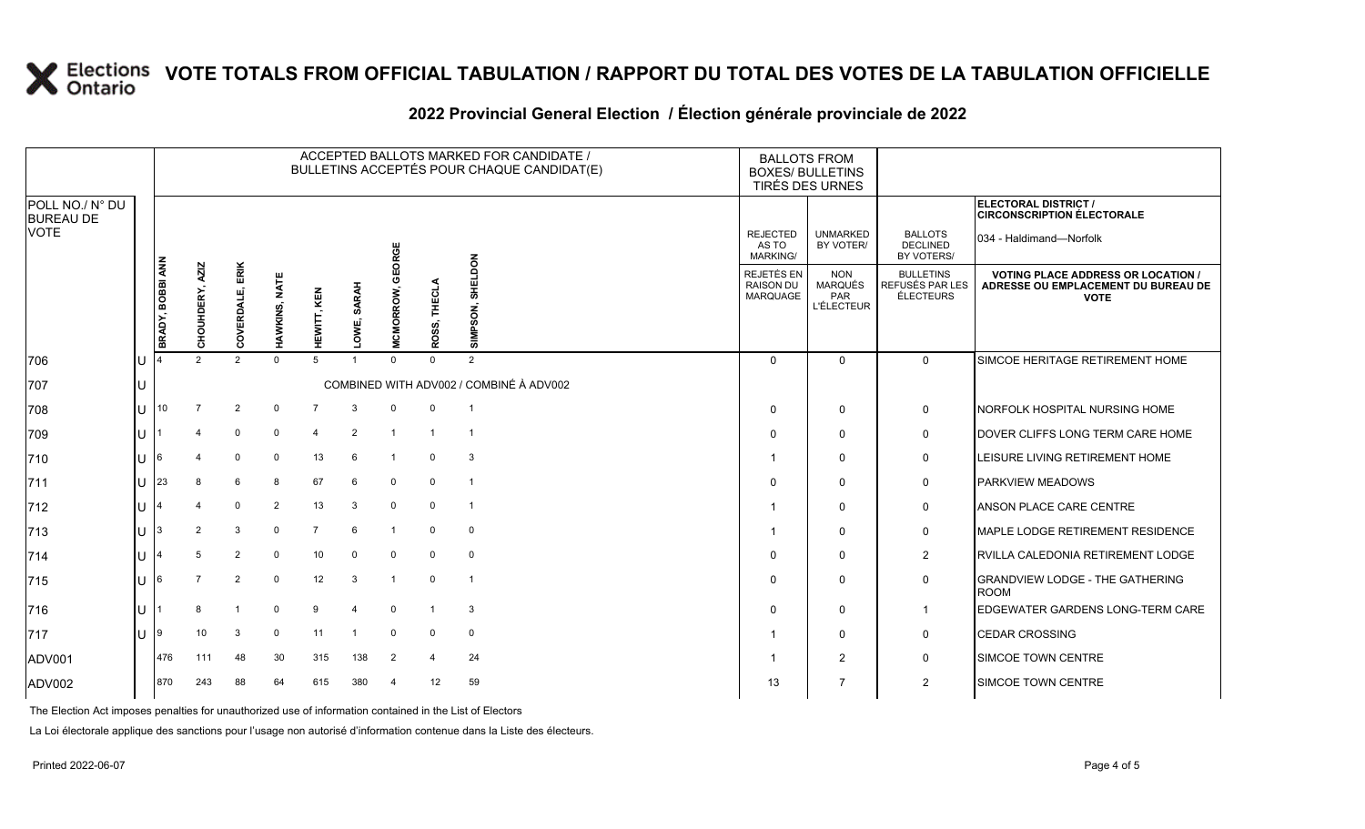|                                     |    |                  |                                                |                 |                         |                    |                |                  |                 | ACCEPTED BALLOTS MARKED FOR CANDIDATE /<br>BULLETINS ACCEPTÉS POUR CHAQUE CANDIDAT(E) | <b>BALLOTS FROM</b><br><b>BOXES/ BULLETINS</b><br>TIRÉS DES URNES |                                                          |                                                         |                                                                                                 |
|-------------------------------------|----|------------------|------------------------------------------------|-----------------|-------------------------|--------------------|----------------|------------------|-----------------|---------------------------------------------------------------------------------------|-------------------------------------------------------------------|----------------------------------------------------------|---------------------------------------------------------|-------------------------------------------------------------------------------------------------|
| POLL NO./ N° DU<br><b>BUREAU DE</b> |    |                  |                                                |                 |                         |                    |                |                  |                 |                                                                                       |                                                                   |                                                          |                                                         | ELECTORAL DISTRICT /<br><b>CIRCONSCRIPTION ÉLECTORALE</b>                                       |
| VOTE                                |    | BRADY, BOBBI ANN |                                                |                 |                         |                    |                | GEORGE           |                 |                                                                                       | <b>REJECTED</b><br>AS TO<br><b>MARKING/</b>                       | <b>UNMARKED</b><br>BY VOTER/                             | <b>BALLOTS</b><br><b>DECLINED</b><br>BY VOTERS/         | 034 - Haldimand—Norfolk                                                                         |
|                                     |    |                  | <b>AZIZ</b><br>DERY,<br>HOUH<br>$\overline{o}$ | COVERDALE, ERIK | <b>NATE</b><br>HAWKINS, | <b>HEWITT, KEN</b> | SARAH<br>LOWE, | <b>MCMORROW,</b> | THECLA<br>ROSS, | <b>SHELDON</b><br>SIMPSON,                                                            | <b>REJETÉS EN</b><br><b>RAISON DU</b><br>MARQUAGE                 | <b>NON</b><br><b>MARQUÉS</b><br>PAR<br><b>L'ÉLECTEUR</b> | <b>BULLETINS</b><br>REFUSÉS PAR LES<br><b>ÉLECTEURS</b> | <b>VOTING PLACE ADDRESS OR LOCATION /</b><br>ADRESSE OU EMPLACEMENT DU BUREAU DE<br><b>VOTE</b> |
| 706                                 | IU |                  | $\mathcal{P}$                                  | 2               | $\mathbf 0$             | 5                  |                | $\Omega$         | $\Omega$        | 2                                                                                     | $\Omega$                                                          | $\mathbf{0}$                                             | $\Omega$                                                | SIMCOE HERITAGE RETIREMENT HOME                                                                 |
| 707                                 | Iυ |                  |                                                |                 |                         |                    |                |                  |                 | COMBINED WITH ADV002 / COMBINÉ À ADV002                                               |                                                                   |                                                          |                                                         |                                                                                                 |
| 708                                 | ПJ |                  |                                                | 2               | 0                       | 7                  | 3              | $\mathbf 0$      | $\mathbf 0$     | $\overline{1}$                                                                        | $\Omega$                                                          | $\mathbf 0$                                              | 0                                                       | NORFOLK HOSPITAL NURSING HOME                                                                   |
| 709                                 | ΙU |                  | 4                                              | $\mathbf 0$     | 0                       | $\overline{4}$     | 2              | $\overline{1}$   | $\overline{1}$  | $\overline{1}$                                                                        | $\Omega$                                                          | $\mathbf{0}$                                             | $\mathbf 0$                                             | DOVER CLIFFS LONG TERM CARE HOME                                                                |
| 710                                 | IU | 16               | 4                                              | $\mathbf 0$     | $\mathbf 0$             | 13                 | 6              | -1               | $\mathbf 0$     | 3                                                                                     |                                                                   | $\Omega$                                                 | 0                                                       | LEISURE LIVING RETIREMENT HOME                                                                  |
| 711                                 | IU | 123              | 8                                              | 6               | 8                       | 67                 | 6              | $\mathbf 0$      | $\mathbf 0$     | $\overline{1}$                                                                        | $\Omega$                                                          | $\mathbf 0$                                              | 0                                                       | <b>PARKVIEW MEADOWS</b>                                                                         |
| 712                                 | ΙU |                  | 4                                              | $\mathbf 0$     | $\overline{2}$          | 13                 | 3              | $\mathbf 0$      | $\mathbf 0$     | $\overline{1}$                                                                        |                                                                   | $\mathbf{0}$                                             | 0                                                       | ANSON PLACE CARE CENTRE                                                                         |
| 713                                 | IU | 13               | 2                                              | 3               | $\mathbf 0$             | 7                  | 6              | -1               | $\mathbf 0$     | $\mathbf 0$                                                                           |                                                                   | $\Omega$                                                 | 0                                                       | <b>MAPLE LODGE RETIREMENT RESIDENCE</b>                                                         |
| 714                                 | IU |                  | 5                                              | $\overline{2}$  | $\Omega$                | 10                 | $\mathbf 0$    | $\Omega$         | $\mathbf 0$     | 0                                                                                     | $\Omega$                                                          | $\Omega$                                                 | $\overline{2}$                                          | RVILLA CALEDONIA RETIREMENT LODGE                                                               |
| 715                                 | IU | 16               | $\overline{7}$                                 | 2               | $\mathbf 0$             | 12                 | 3              |                  | $\mathbf 0$     | $\overline{1}$                                                                        | $\Omega$                                                          | $\mathbf{0}$                                             | $\mathbf 0$                                             | <b>GRANDVIEW LODGE - THE GATHERING</b><br><b>ROOM</b>                                           |
| 716                                 | IU |                  | 8                                              | $\mathbf{1}$    | $\mathbf 0$             | 9                  | $\overline{4}$ | $\Omega$         |                 | 3                                                                                     | $\Omega$                                                          | $\mathbf 0$                                              | $\mathbf{1}$                                            | <b>EDGEWATER GARDENS LONG-TERM CARE</b>                                                         |
| 717                                 | IU | 19               | 10                                             | 3               | 0                       | 11                 |                | $\mathbf 0$      | 0               | $\mathbf 0$                                                                           | -1                                                                | $\mathbf{0}$                                             | 0                                                       | <b>CEDAR CROSSING</b>                                                                           |
| ADV001                              |    | 476              | 111                                            | 48              | 30                      | 315                | 138            | 2                | 4               | 24                                                                                    | -1                                                                | $\overline{2}$                                           | 0                                                       | <b>SIMCOE TOWN CENTRE</b>                                                                       |
| ADV002                              |    | 870              | 243                                            | 88              | 64                      | 615                | 380            | -4               | 12              | 59                                                                                    | 13                                                                | $\overline{7}$                                           | $\overline{2}$                                          | <b>SIMCOE TOWN CENTRE</b>                                                                       |

### **2022 Provincial General Election / Élection générale provinciale de 2022**

The Election Act imposes penalties for unauthorized use of information contained in the List of Electors